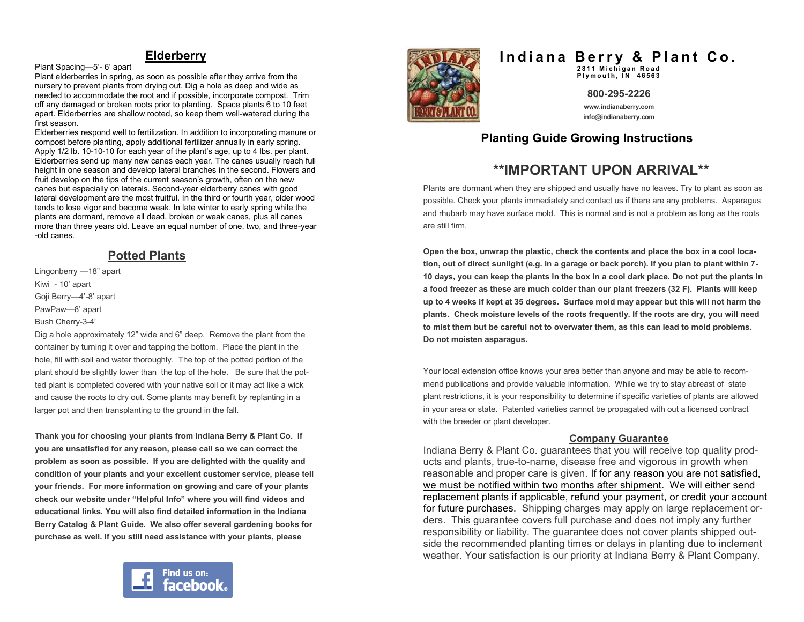#### **Elderberry**

Plant Spacing—5'- 6' apart

Plant elderberries in spring, as soon as possible after they arrive from the nursery to prevent plants from drying out. Dig a hole as deep and wide as needed to accommodate the root and if possible, incorporate compost. Trim off any damaged or broken roots prior to planting. Space plants 6 to 10 feet apart. Elderberries are shallow rooted, so keep them well-watered during the first season.

Elderberries respond well to fertilization. In addition to incorporating manure or compost before planting, apply additional fertilizer annually in early spring. Apply 1/2 lb. 10-10-10 for each year of the plant's age, up to 4 lbs. per plant. Elderberries send up many new canes each year. The canes usually reach full height in one season and develop lateral branches in the second. Flowers and fruit develop on the tips of the current season's growth, often on the new canes but especially on laterals. Second-year elderberry canes with good lateral development are the most fruitful. In the third or fourth year, older wood tends to lose vigor and become weak. In late winter to early spring while the plants are dormant, remove all dead, broken or weak canes, plus all canes more than three years old. Leave an equal number of one, two, and three-year -old canes.

### **Potted Plants**

Lingonberry —18" apart Kiwi - 10' apart Goji Berry—4'-8' apart PawPaw—8' apart Bush Cherry-3-4' Dig a hole approximately 12" wide and 6" deep. Remove the plant from the

container by turning it over and tapping the bottom. Place the plant in the hole, fill with soil and water thoroughly. The top of the potted portion of the plant should be slightly lower than the top of the hole. Be sure that the potted plant is completed covered with your native soil or it may act like a wick and cause the roots to dry out. Some plants may benefit by replanting in a larger pot and then transplanting to the ground in the fall.

**Thank you for choosing your plants from Indiana Berry & Plant Co. If you are unsatisfied for any reason, please call so we can correct the problem as soon as possible. If you are delighted with the quality and condition of your plants and your excellent customer service, please tell your friends. For more information on growing and care of your plants check our website under "Helpful Info" where you will find videos and educational links. You will also find detailed information in the Indiana Berry Catalog & Plant Guide. We also offer several gardening books for purchase as well. If you still need assistance with your plants, please** 





# Indiana Berry & Plant Co.

**2 8 1 1 M i c h i g a n R o a d Plymouth, IN 46563** 

**800-295-2226**

**www.indianaberry.com info@indianaberry.com**

# **Planting Guide Growing Instructions**

# **\*\*IMPORTANT UPON ARRIVAL\*\***

Plants are dormant when they are shipped and usually have no leaves. Try to plant as soon as possible. Check your plants immediately and contact us if there are any problems. Asparagus and rhubarb may have surface mold. This is normal and is not a problem as long as the roots are still firm.

**Open the box, unwrap the plastic, check the contents and place the box in a cool location, out of direct sunlight (e.g. in a garage or back porch). If you plan to plant within 7- 10 days, you can keep the plants in the box in a cool dark place. Do not put the plants in a food freezer as these are much colder than our plant freezers (32 F). Plants will keep up to 4 weeks if kept at 35 degrees. Surface mold may appear but this will not harm the plants. Check moisture levels of the roots frequently. If the roots are dry, you will need to mist them but be careful not to overwater them, as this can lead to mold problems. Do not moisten asparagus.**

Your local extension office knows your area better than anyone and may be able to recommend publications and provide valuable information. While we try to stay abreast of state plant restrictions, it is your responsibility to determine if specific varieties of plants are allowed in your area or state. Patented varieties cannot be propagated with out a licensed contract with the breeder or plant developer.

#### **Company Guarantee**

Indiana Berry & Plant Co. guarantees that you will receive top quality products and plants, true-to-name, disease free and vigorous in growth when reasonable and proper care is given. If for any reason you are not satisfied, we must be notified within two months after shipment. We will either send replacement plants if applicable, refund your payment, or credit your account for future purchases. Shipping charges may apply on large replacement orders. This guarantee covers full purchase and does not imply any further responsibility or liability. The guarantee does not cover plants shipped outside the recommended planting times or delays in planting due to inclement weather. Your satisfaction is our priority at Indiana Berry & Plant Company.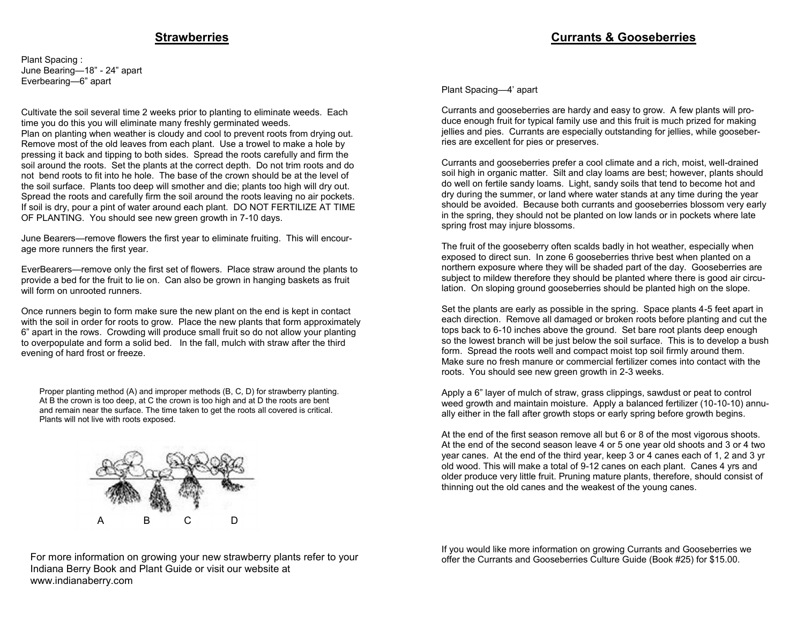#### **Strawberries**

Plant Spacing : June Bearing—18" - 24" apart Everbearing—6" apart

Cultivate the soil several time 2 weeks prior to planting to eliminate weeds. Each time you do this you will eliminate many freshly germinated weeds.

Plan on planting when weather is cloudy and cool to prevent roots from drying out. Remove most of the old leaves from each plant. Use a trowel to make a hole by pressing it back and tipping to both sides. Spread the roots carefully and firm the soil around the roots. Set the plants at the correct depth. Do not trim roots and do not bend roots to fit into he hole. The base of the crown should be at the level of the soil surface. Plants too deep will smother and die; plants too high will dry out. Spread the roots and carefully firm the soil around the roots leaving no air pockets. If soil is dry, pour a pint of water around each plant. DO NOT FERTILIZE AT TIME OF PLANTING. You should see new green growth in 7-10 days.

June Bearers—remove flowers the first year to eliminate fruiting. This will encourage more runners the first year.

EverBearers—remove only the first set of flowers. Place straw around the plants to provide a bed for the fruit to lie on. Can also be grown in hanging baskets as fruit will form on unrooted runners.

Once runners begin to form make sure the new plant on the end is kept in contact with the soil in order for roots to grow. Place the new plants that form approximately 6" apart in the rows. Crowding will produce small fruit so do not allow your planting to overpopulate and form a solid bed. In the fall, mulch with straw after the third evening of hard frost or freeze.

Proper planting method (A) and improper methods (B, C, D) for strawberry planting. At B the crown is too deep, at C the crown is too high and at D the roots are bent and remain near the surface. The time taken to get the roots all covered is critical. Plants will not live with roots exposed.



#### **Currants & Gooseberries**

Plant Spacing—4' apart

Currants and gooseberries are hardy and easy to grow. A few plants will produce enough fruit for typical family use and this fruit is much prized for making jellies and pies. Currants are especially outstanding for jellies, while gooseberries are excellent for pies or preserves.

Currants and gooseberries prefer a cool climate and a rich, moist, well-drained soil high in organic matter. Silt and clay loams are best; however, plants should do well on fertile sandy loams. Light, sandy soils that tend to become hot and dry during the summer, or land where water stands at any time during the year should be avoided. Because both currants and gooseberries blossom very early in the spring, they should not be planted on low lands or in pockets where late spring frost may injure blossoms.

The fruit of the gooseberry often scalds badly in hot weather, especially when exposed to direct sun. In zone 6 gooseberries thrive best when planted on a northern exposure where they will be shaded part of the day. Gooseberries are subject to mildew therefore they should be planted where there is good air circulation. On sloping ground gooseberries should be planted high on the slope.

Set the plants are early as possible in the spring. Space plants 4-5 feet apart in each direction. Remove all damaged or broken roots before planting and cut the tops back to 6-10 inches above the ground. Set bare root plants deep enough so the lowest branch will be just below the soil surface. This is to develop a bush form. Spread the roots well and compact moist top soil firmly around them. Make sure no fresh manure or commercial fertilizer comes into contact with the roots. You should see new green growth in 2-3 weeks.

Apply a 6" layer of mulch of straw, grass clippings, sawdust or peat to control weed growth and maintain moisture. Apply a balanced fertilizer (10-10-10) annually either in the fall after growth stops or early spring before growth begins.

At the end of the first season remove all but 6 or 8 of the most vigorous shoots. At the end of the second season leave 4 or 5 one year old shoots and 3 or 4 two year canes. At the end of the third year, keep 3 or 4 canes each of 1, 2 and 3 yr old wood. This will make a total of 9-12 canes on each plant. Canes 4 yrs and older produce very little fruit. Pruning mature plants, therefore, should consist of thinning out the old canes and the weakest of the young canes.

For more information on growing your new strawberry plants refer to your Indiana Berry Book and Plant Guide or visit our website at www.indianaberry.com

If you would like more information on growing Currants and Gooseberries we offer the Currants and Gooseberries Culture Guide (Book #25) for \$15.00.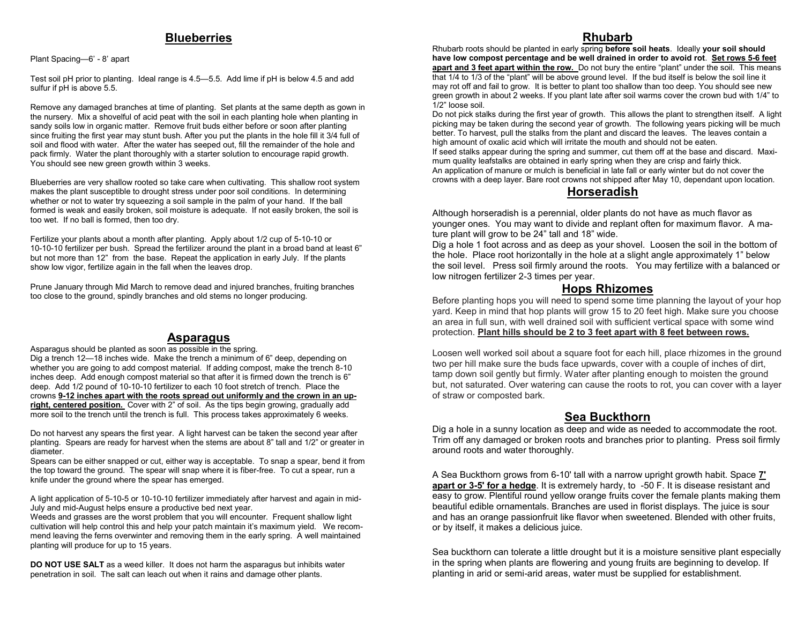#### **Blueberries**

Plant Spacing—6' - 8' apart

Test soil pH prior to planting. Ideal range is 4.5—5.5. Add lime if pH is below 4.5 and add sulfur if pH is above 5.5.

Remove any damaged branches at time of planting. Set plants at the same depth as gown in the nursery. Mix a shovelful of acid peat with the soil in each planting hole when planting in sandy soils low in organic matter. Remove fruit buds either before or soon after planting since fruiting the first year may stunt bush. After you put the plants in the hole fill it 3/4 full of soil and flood with water. After the water has seeped out, fill the remainder of the hole and pack firmly. Water the plant thoroughly with a starter solution to encourage rapid growth. You should see new green growth within 3 weeks.

Blueberries are very shallow rooted so take care when cultivating. This shallow root system makes the plant susceptible to drought stress under poor soil conditions. In determining whether or not to water try squeezing a soil sample in the palm of your hand. If the ball formed is weak and easily broken, soil moisture is adequate. If not easily broken, the soil is too wet. If no ball is formed, then too dry.

Fertilize your plants about a month after planting. Apply about 1/2 cup of 5-10-10 or 10-10-10 fertilizer per bush. Spread the fertilizer around the plant in a broad band at least 6" but not more than 12" from the base. Repeat the application in early July. If the plants show low vigor, fertilize again in the fall when the leaves drop.

Prune January through Mid March to remove dead and injured branches, fruiting branches too close to the ground, spindly branches and old stems no longer producing.

### **Asparagus**

Asparagus should be planted as soon as possible in the spring. Dig a trench 12—18 inches wide. Make the trench a minimum of 6" deep, depending on whether you are going to add compost material. If adding compost, make the trench 8-10 inches deep. Add enough compost material so that after it is firmed down the trench is 6" deep. Add 1/2 pound of 10-10-10 fertilizer to each 10 foot stretch of trench. Place the crowns **9-12 inches apart with the roots spread out uniformly and the crown in an upright, centered position.** Cover with 2" of soil. As the tips begin growing, gradually add more soil to the trench until the trench is full. This process takes approximately 6 weeks.

Do not harvest any spears the first year. A light harvest can be taken the second year after planting. Spears are ready for harvest when the stems are about 8" tall and 1/2" or greater in diameter.

Spears can be either snapped or cut, either way is acceptable. To snap a spear, bend it from the top toward the ground. The spear will snap where it is fiber-free. To cut a spear, run a knife under the ground where the spear has emerged.

A light application of 5-10-5 or 10-10-10 fertilizer immediately after harvest and again in mid-July and mid-August helps ensure a productive bed next year.

Weeds and grasses are the worst problem that you will encounter. Frequent shallow light cultivation will help control this and help your patch maintain it's maximum yield. We recommend leaving the ferns overwinter and removing them in the early spring. A well maintained planting will produce for up to 15 years.

**DO NOT USE SALT** as a weed killer. It does not harm the asparagus but inhibits water penetration in soil. The salt can leach out when it rains and damage other plants.

# **Rhubarb**

Rhubarb roots should be planted in early spring **before soil heats**. Ideally **your soil should have low compost percentage and be well drained in order to avoid rot**. **Set rows 5-6 feet apart and 3 feet apart within the row.** Do not bury the entire "plant" under the soil. This means that 1/4 to 1/3 of the "plant" will be above ground level. If the bud itself is below the soil line it may rot off and fail to grow. It is better to plant too shallow than too deep. You should see new green growth in about 2 weeks. If you plant late after soil warms cover the crown bud with 1/4" to 1/2" loose soil.

Do not pick stalks during the first year of growth. This allows the plant to strengthen itself. A light picking may be taken during the second year of growth. The following years picking will be much better. To harvest, pull the stalks from the plant and discard the leaves. The leaves contain a high amount of oxalic acid which will irritate the mouth and should not be eaten.

If seed stalks appear during the spring and summer, cut them off at the base and discard. Maximum quality leafstalks are obtained in early spring when they are crisp and fairly thick. An application of manure or mulch is beneficial in late fall or early winter but do not cover the crowns with a deep layer. Bare root crowns not shipped after May 10, dependant upon location.

# **Horseradish**

Although horseradish is a perennial, older plants do not have as much flavor as younger ones. You may want to divide and replant often for maximum flavor. A mature plant will grow to be 24" tall and 18" wide.

Dig a hole 1 foot across and as deep as your shovel. Loosen the soil in the bottom of the hole. Place root horizontally in the hole at a slight angle approximately 1" below the soil level. Press soil firmly around the roots. You may fertilize with a balanced or low nitrogen fertilizer 2-3 times per year.

### **Hops Rhizomes**

Before planting hops you will need to spend some time planning the layout of your hop yard. Keep in mind that hop plants will grow 15 to 20 feet high. Make sure you choose an area in full sun, with well drained soil with sufficient vertical space with some wind protection. **Plant hills should be 2 to 3 feet apart with 8 feet between rows.** 

Loosen well worked soil about a square foot for each hill, place rhizomes in the ground two per hill make sure the buds face upwards, cover with a couple of inches of dirt, tamp down soil gently but firmly. Water after planting enough to moisten the ground but, not saturated. Over watering can cause the roots to rot, you can cover with a layer of straw or composted bark.

### **Sea Buckthorn**

Dig a hole in a sunny location as deep and wide as needed to accommodate the root. Trim off any damaged or broken roots and branches prior to planting. Press soil firmly around roots and water thoroughly.

A Sea Buckthorn grows from 6-10' tall with a narrow upright growth habit. Space **7' apart or 3-5' for a hedge**. It is extremely hardy, to -50 F. It is disease resistant and easy to grow. Plentiful round yellow orange fruits cover the female plants making them beautiful edible ornamentals. Branches are used in florist displays. The juice is sour and has an orange passionfruit like flavor when sweetened. Blended with other fruits, or by itself, it makes a delicious juice.

Sea buckthorn can tolerate a little drought but it is a moisture sensitive plant especially in the spring when plants are flowering and young fruits are beginning to develop. If planting in arid or semi-arid areas, water must be supplied for establishment.